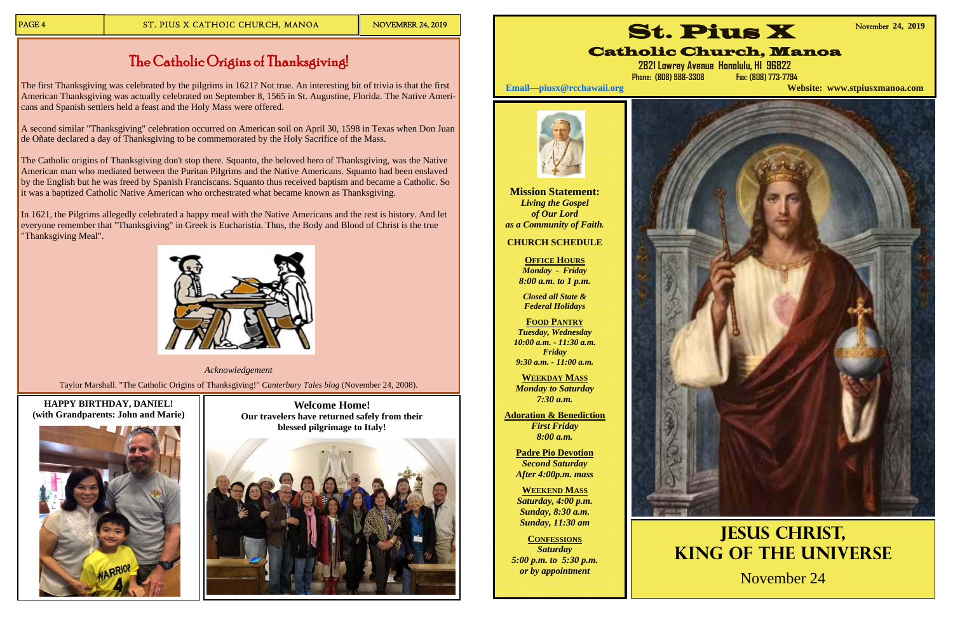**Welcome Home! Our travelers have returned safely from their blessed pilgrimage to Italy!** 



# **HAPPY BIRTHDAY, DANIEL! (with Grandparents: John and Marie)**



# The Catholic Origins of Thanksgiving!

The first Thanksgiving was celebrated by the pilgrims in 1621? Not true. An interesting bit of trivia is that the first American Thanksgiving was actually celebrated on September 8, 1565 in St. Augustine, Florida. The Native Americans and Spanish settlers held a feast and the Holy Mass were offered.

A second similar "Thanksgiving" celebration occurred on American soil on April 30, 1598 in Texas when Don Juan de Oñate declared a day of Thanksgiving to be commemorated by the Holy Sacrifice of the Mass.

In 1621, the Pilgrims allegedly celebrated a happy meal with the Native Americans and the rest is history. And let everyone remember that "Thanksgiving" in Greek is Eucharistia. Thus, the Body and Blood of Christ is the true "Thanksgiving Meal".



The Catholic origins of Thanksgiving don't stop there. Squanto, the beloved hero of Thanksgiving, was the Native American man who mediated between the Puritan Pilgrims and the Native Americans. Squanto had been enslaved by the English but he was freed by Spanish Franciscans. Squanto thus received baptism and became a Catholic. So it was a baptized Catholic Native American who orchestrated what became known as Thanksgiving.

*Acknowledgement*  Taylor Marshall. "The Catholic Origins of Thanksgiving!" *Canterbury Tales blog* (November 24, 2008).

**Mission Statement:**  *Living the Gospel of Our Lord as a Community of Faith.* 

### **CHURCH SCHEDULE**

**OFFICE HOURS***Monday - Friday 8:00 a.m. to 1 p.m.* 

*Closed all State & Federal Holidays* 

**FOOD PANTRY***Tuesday, Wednesday 10:00 a.m. - 11:30 a.m. Friday 9:30 a.m. - 11:00 a.m.* 

**WEEKDAY MASS***Monday to Saturday 7:30 a.m.* 

**Adoration & Benediction**  *First Friday 8:00 a.m.* 

> **Padre Pio Devotion**  *Second Saturday After 4:00p.m. mass*

**WEEKEND MASS***Saturday, 4:00 p.m. Sunday, 8:30 a.m. Sunday, 11:30 am* 

**CONFESSIONS** *Saturday 5:00 p.m. to 5:30 p.m. or by appointment* 







**Jesus Christ, King of the Universe** November 24